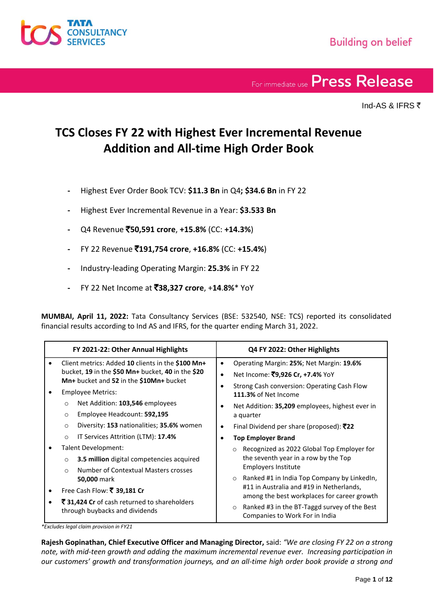

Ind-AS & IFRS `

### **TCS Closes FY 22 with Highest Ever Incremental Revenue Addition and All-time High Order Book**

- **-** Highest Ever Order Book TCV: **\$11.3 Bn** in Q4**; \$34.6 Bn** in FY 22
- **-** Highest Ever Incremental Revenue in a Year: **\$3.533 Bn**
- **-** Q4 Revenue `**50,591 crore**, **+15.8%** (CC: **+14.3%**)
- **-** FY 22 Revenue `**191,754 crore**, **+16.8%** (CC: **+15.4%**)
- **-** Industry-leading Operating Margin: **25.3%** in FY 22
- **-** FY 22 Net Income at `**38,327 crore**, +**14**.**8%**\* YoY

**MUMBAI, April 11, 2022:** Tata Consultancy Services (BSE: 532540, NSE: TCS) reported its consolidated financial results according to Ind AS and IFRS, for the quarter ending March 31, 2022.

| FY 2021-22: Other Annual Highlights                                                                                                               | Q4 FY 2022: Other Highlights                                                                                                                      |  |
|---------------------------------------------------------------------------------------------------------------------------------------------------|---------------------------------------------------------------------------------------------------------------------------------------------------|--|
| Client metrics: Added 10 clients in the \$100 Mn+<br>bucket, 19 in the \$50 Mn+ bucket, 40 in the \$20<br>Mn+ bucket and 52 in the \$10Mn+ bucket | Operating Margin: 25%; Net Margin: 19.6%<br>Net Income: ₹9,926 Cr, +7.4% YoY                                                                      |  |
| <b>Employee Metrics:</b>                                                                                                                          | Strong Cash conversion: Operating Cash Flow<br>111.3% of Net Income                                                                               |  |
| Net Addition: 103,546 employees<br>$\circ$<br>Employee Headcount: 592,195<br>$\circ$                                                              | Net Addition: 35,209 employees, highest ever in<br>a quarter                                                                                      |  |
| Diversity: 153 nationalities; 35.6% women<br>$\circ$<br>IT Services Attrition (LTM): 17.4%<br>$\circ$                                             | Final Dividend per share (proposed): $\bar{z}$ 22<br><b>Top Employer Brand</b>                                                                    |  |
| Talent Development:<br><b>3.5 million</b> digital competencies acquired<br>$\circ$<br>Number of Contextual Masters crosses<br>$\bigcirc$          | Recognized as 2022 Global Top Employer for<br>$\circ$<br>the seventh year in a row by the Top<br><b>Employers Institute</b>                       |  |
| 50,000 mark<br>Free Cash Flow: ₹ 39,181 Cr                                                                                                        | Ranked #1 in India Top Company by LinkedIn,<br>$\circ$<br>#11 in Australia and #19 in Netherlands,<br>among the best workplaces for career growth |  |
| ₹31,424 Cr of cash returned to shareholders<br>through buybacks and dividends                                                                     | Ranked #3 in the BT-Taggd survey of the Best<br>$\circ$<br>Companies to Work For in India                                                         |  |

*\*Excludes legal claim provision in FY21*

**Rajesh Gopinathan, Chief Executive Officer and Managing Director,** said: *"We are closing FY 22 on a strong note, with mid-teen growth and adding the maximum incremental revenue ever. Increasing participation in our customers' growth and transformation journeys, and an all-time high order book provide a strong and*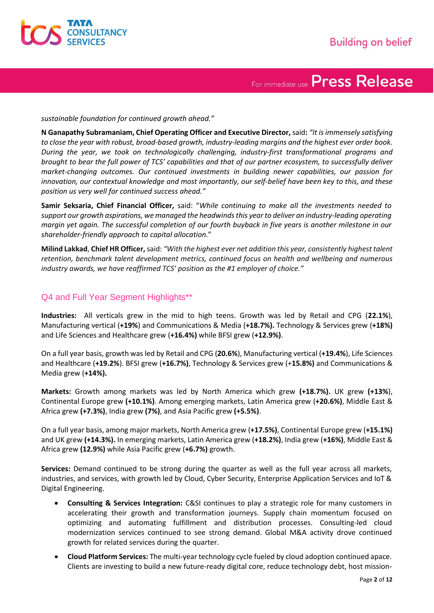

*sustainable foundation for continued growth ahead."*

**N Ganapathy Subramaniam, Chief Operating Officer and Executive Director,** said**:** *"It is immensely satisfying to close the year with robust, broad-based growth, industry-leading margins and the highest ever order book. During the year, we took on technologically challenging, industry-first transformational programs and brought to bear the full power of TCS' capabilities and that of our partner ecosystem, to successfully deliver market-changing outcomes. Our continued investments in building newer capabilities, our passion for innovation, our contextual knowledge and most importantly, our self-belief have been key to this, and these position us very well for continued success ahead."*

**Samir Seksaria, Chief Financial Officer,** said: "*While continuing to make all the investments needed to support our growth aspirations, we managed the headwinds this year to deliver an industry-leading operating margin yet again. The successful completion of our fourth buyback in five years is another milestone in our shareholder-friendly approach to capital allocation.*"

**Milind Lakkad**, **Chief HR Officer,** said: *"With the highest ever net addition this year, consistently highest talent retention, benchmark talent development metrics, continued focus on health and wellbeing and numerous industry awards, we have reaffirmed TCS' position as the #1 employer of choice."*

### Q4 and Full Year Segment Highlights\*\*

**Industries:** All verticals grew in the mid to high teens. Growth was led by Retail and CPG (**22.1%**), Manufacturing vertical (**+19%**) and Communications & Media (**+18.7%).** Technology & Services grew (**+18%)** and Life Sciences and Healthcare grew (**+16.4%)** while BFSI grew (**+12.9%)**.

On a full year basis, growth was led by Retail and CPG (**20.6%**), Manufacturing vertical (**+19.4%**), Life Sciences and Healthcare (**+19.2%**). BFSI grew (**+16.7%)**, Technology & Services grew (+**15.8%)** and Communications & Media grew (**+14%).**

**Markets:** Growth among markets was led by North America which grew **(+18.7%).** UK grew **(+13%**), Continental Europe grew **(+10.1%)**. Among emerging markets, Latin America grew (**+20.6%)**, Middle East & Africa grew **(+7.3%)**, India grew **(7%)**, and Asia Pacific grew **(+5.5%)**.

On a full year basis, among major markets, North America grew (**+17.5%)**, Continental Europe grew (**+15.1%)** and UK grew **(+14.3%).** In emerging markets, Latin America grew (**+18.2%)**, India grew (**+16%)**, Middle East & Africa grew **(12.9%)** while Asia Pacific grew (**+6.7%)** growth.

**Services:** Demand continued to be strong during the quarter as well as the full year across all markets, industries, and services, with growth led by Cloud, Cyber Security, Enterprise Application Services and IoT & Digital Engineering.

- **Consulting & Services Integration:** C&SI continues to play a strategic role for many customers in accelerating their growth and transformation journeys. Supply chain momentum focused on optimizing and automating fulfillment and distribution processes. Consulting-led cloud modernization services continued to see strong demand. Global M&A activity drove continued growth for related services during the quarter.
- **Cloud Platform Services:** The multi-year technology cycle fueled by cloud adoption continued apace. Clients are investing to build a new future-ready digital core, reduce technology debt, host mission-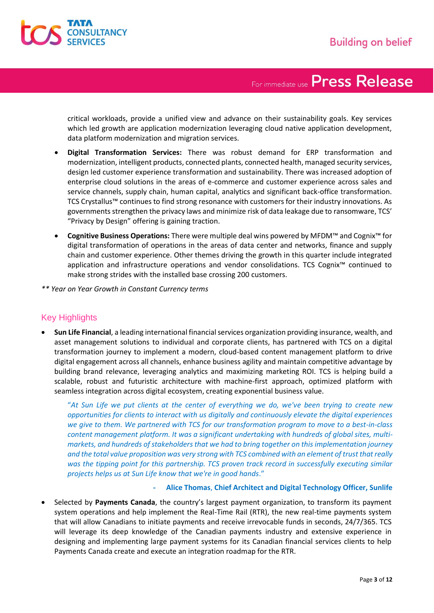

critical workloads, provide a unified view and advance on their sustainability goals. Key services which led growth are application modernization leveraging cloud native application development, data platform modernization and migration services.

- **Digital Transformation Services:** There was robust demand for ERP transformation and modernization, intelligent products, connected plants, connected health, managed security services, design led customer experience transformation and sustainability. There was increased adoption of enterprise cloud solutions in the areas of e-commerce and customer experience across sales and service channels, supply chain, human capital, analytics and significant back-office transformation. TCS Crystallus™ continues to find strong resonance with customers for their industry innovations. As governments strengthen the privacy laws and minimize risk of data leakage due to ransomware, TCS' "Privacy by Design" offering is gaining traction.
- **Cognitive Business Operations:** There were multiple deal wins powered by MFDM™ and Cognix™ for digital transformation of operations in the areas of data center and networks, finance and supply chain and customer experience. Other themes driving the growth in this quarter include integrated application and infrastructure operations and vendor consolidations. TCS Cognix™ continued to make strong strides with the installed base crossing 200 customers.
- *\*\* Year on Year Growth in Constant Currency terms*

### Key Highlights

• **Sun Life Financial**, a leading international financial services organization providing insurance, wealth, and asset management solutions to individual and corporate clients, has partnered with TCS on a digital transformation journey to implement a modern, cloud-based content management platform to drive digital engagement across all channels, enhance business agility and maintain competitive advantage by building brand relevance, leveraging analytics and maximizing marketing ROI. TCS is helping build a scalable, robust and futuristic architecture with machine-first approach, optimized platform with seamless integration across digital ecosystem, creating exponential business value.

"*At Sun Life we put clients at the center of everything we do, we've been trying to create new opportunities for clients to interact with us digitally and continuously elevate the digital experiences we give to them. We partnered with TCS for our transformation program to move to a best-in-class content management platform. It was a significant undertaking with hundreds of global sites, multimarkets, and hundreds of stakeholders that we had to bring together on this implementation journey and the total value proposition was very strong with TCS combined with an element of trust that really was the tipping point for this partnership. TCS proven track record in successfully executing similar projects helps us at Sun Life know that we're in good hands*."

### **- Alice Thomas**, **Chief Architect and Digital Technology Officer, Sunlife**

• Selected by **Payments Canada**, the country's largest payment organization, to transform its payment system operations and help implement the Real-Time Rail (RTR), the new real-time payments system that will allow Canadians to initiate payments and receive irrevocable funds in seconds, 24/7/365. TCS will leverage its deep knowledge of the Canadian payments industry and extensive experience in designing and implementing large payment systems for its Canadian financial services clients to help Payments Canada create and execute an integration roadmap for the RTR.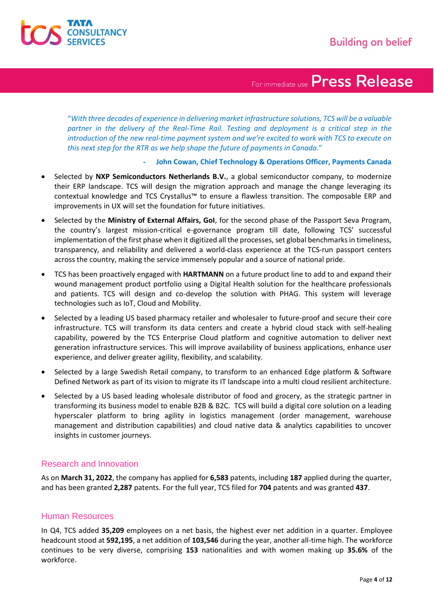

"*With three decades of experience in delivering market infrastructure solutions, TCS will be a valuable partner in the delivery of the Real-Time Rail. Testing and deployment is a critical step in the introduction of the new real-time payment system and we're excited to work with TCS to execute on this next step for the RTR as we help shape the future of payments in Canada.*"

### **- John Cowan, Chief Technology & Operations Officer, Payments Canada**

- Selected by **NXP Semiconductors Netherlands B.V.**, a global semiconductor company, to modernize their ERP landscape. TCS will design the migration approach and manage the change leveraging its contextual knowledge and TCS Crystallus™ to ensure a flawless transition. The composable ERP and improvements in UX will set the foundation for future initiatives.
- Selected by the **Ministry of External Affairs, GoI**, for the second phase of the Passport Seva Program, the country's largest mission-critical e-governance program till date, following TCS' successful implementation of the first phase when it digitized all the processes, set global benchmarks in timeliness, transparency, and reliability and delivered a world-class experience at the TCS-run passport centers across the country, making the service immensely popular and a source of national pride.
- TCS has been proactively engaged with **HARTMANN** on a future product line to add to and expand their wound management product portfolio using a Digital Health solution for the healthcare professionals and patients. TCS will design and co-develop the solution with PHAG. This system will leverage technologies such as IoT, Cloud and Mobility.
- Selected by a leading US based pharmacy retailer and wholesaler to future-proof and secure their core infrastructure. TCS will transform its data centers and create a hybrid cloud stack with self-healing capability, powered by the TCS Enterprise Cloud platform and cognitive automation to deliver next generation infrastructure services. This will improve availability of business applications, enhance user experience, and deliver greater agility, flexibility, and scalability.
- Selected by a large Swedish Retail company, to transform to an enhanced Edge platform & Software Defined Network as part of its vision to migrate its IT landscape into a multi cloud resilient architecture.
- Selected by a US based leading wholesale distributor of food and grocery, as the strategic partner in transforming its business model to enable B2B & B2C. TCS will build a digital core solution on a leading hyperscaler platform to bring agility in logistics management (order management, warehouse management and distribution capabilities) and cloud native data & analytics capabilities to uncover insights in customer journeys.

### Research and Innovation

As on **March 31, 2022**, the company has applied for **6,583** patents, including **187** applied during the quarter, and has been granted **2,287** patents. For the full year, TCS filed for **704** patents and was granted **437**.

### Human Resources

In Q4, TCS added **35,209** employees on a net basis, the highest ever net addition in a quarter. Employee headcount stood at **592,195**, a net addition of **103,546** during the year, another all-time high. The workforce continues to be very diverse, comprising **153** nationalities and with women making up **35.6%** of the workforce.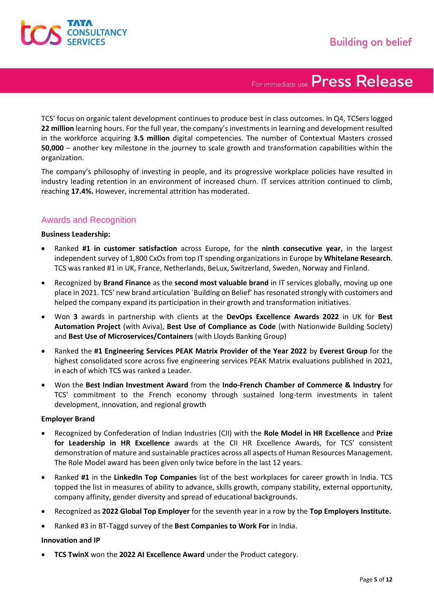

TCS' focus on organic talent development continues to produce best in class outcomes. In Q4, TCSers logged **22 million** learning hours. For the full year, the company's investments in learning and development resulted in the workforce acquiring **3.5 million** digital competencies. The number of Contextual Masters crossed **50,000** – another key milestone in the journey to scale growth and transformation capabilities within the organization.

The company's philosophy of investing in people, and its progressive workplace policies have resulted in industry leading retention in an environment of increased churn. IT services attrition continued to climb, reaching **17.4%.** However, incremental attrition has moderated.

### Awards and Recognition

### **Business Leadership:**

- Ranked **#1 in customer satisfaction** across Europe, for the **ninth consecutive year**, in the largest independent survey of 1,800 CxOs from top IT spending organizations in Europe by **Whitelane Research**. TCS was ranked #1 in UK, France, Netherlands, BeLux, Switzerland, Sweden, Norway and Finland.
- Recognized by **Brand Finance** as the **second most valuable brand** in IT services globally, moving up one place in 2021. TCS' new brand articulation `Building on Belief' has resonated strongly with customers and helped the company expand its participation in their growth and transformation initiatives.
- Won **3** awards in partnership with clients at the **DevOps Excellence Awards 2022** in UK for **Best Automation Project** (with Aviva), **Best Use of Compliance as Code** (with Nationwide Building Society) and **Best Use of Microservices/Containers** (with Lloyds Banking Group)
- Ranked the **#1 Engineering Services PEAK Matrix Provider of the Year 2022** by **Everest Group** for the highest consolidated score across five engineering services PEAK Matrix evaluations published in 2021, in each of which TCS was ranked a Leader.
- Won the **Best Indian Investment Award** from the **Indo-French Chamber of Commerce & Industry** for TCS' commitment to the French economy through sustained long-term investments in talent development, innovation, and regional growth

### **Employer Brand**

- Recognized by Confederation of Indian Industries (CII) with the **Role Model in HR Excellence** and **Prize for Leadership in HR Excellence** awards at the CII HR Excellence Awards, for TCS' consistent demonstration of mature and sustainable practices across all aspects of Human Resources Management. The Role Model award has been given only twice before in the last 12 years.
- Ranked **#1** in the **LinkedIn Top Companies** list of the best workplaces for career growth in India. TCS topped the list in measures of ability to advance, skills growth, company stability, external opportunity, company affinity, gender diversity and spread of educational backgrounds.
- Recognized as **2022 Global Top Employer** for the seventh year in a row by the **Top Employers Institute.**
- Ranked #3 in BT-Taggd survey of the **Best Companies to Work For** in India.

### **Innovation and IP**

• **TCS TwinX** won the **2022 AI Excellence Award** under the Product category.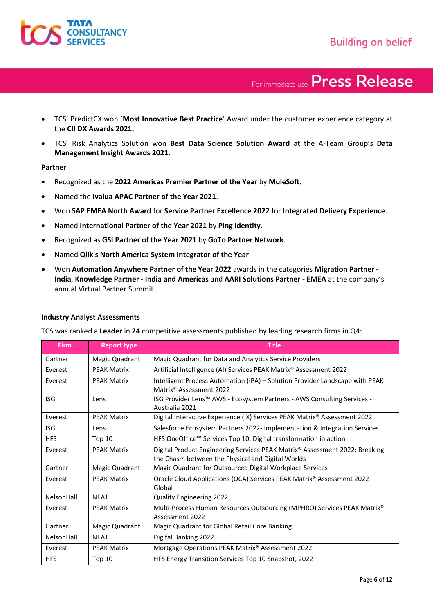- TCS' PredictCX won `**Most Innovative Best Practice**' Award under the customer experience category at the **CII DX Awards 2021.**
- TCS' Risk Analytics Solution won **Best Data Science Solution Award** at the A-Team Group's **Data Management Insight Awards 2021.**

### **Partner**

- Recognized as the **2022 Americas Premier Partner of the Year** by **MuleSoft.**
- Named the **Ivalua APAC Partner of the Year 2021**.
- Won **SAP EMEA North Award** for **Service Partner Excellence 2022** for **Integrated Delivery Experience**.
- Named **International Partner of the Year 2021** by **Ping Identity**.
- Recognized as **GSI Partner of the Year 2021** by **GoTo Partner Network**.
- Named **Qlik's North America System Integrator of the Year**.
- Won **Automation Anywhere Partner of the Year 2022** awards in the categories **Migration Partner - India**, **Knowledge Partner - India and Americas** and **AARI Solutions Partner - EMEA** at the company's annual Virtual Partner Summit.

| <b>Firm</b> | <b>Report type</b> | <b>Title</b>                                                                                                                     |
|-------------|--------------------|----------------------------------------------------------------------------------------------------------------------------------|
| Gartner     | Magic Quadrant     | Magic Quadrant for Data and Analytics Service Providers                                                                          |
| Everest     | <b>PEAK Matrix</b> | Artificial Intelligence (AI) Services PEAK Matrix® Assessment 2022                                                               |
| Everest     | <b>PEAK Matrix</b> | Intelligent Process Automation (IPA) - Solution Provider Landscape with PEAK<br>Matrix <sup>®</sup> Assessment 2022              |
| <b>ISG</b>  | Lens               | ISG Provider Lens™ AWS - Ecosystem Partners - AWS Consulting Services -<br>Australia 2021                                        |
| Everest     | <b>PEAK Matrix</b> | Digital Interactive Experience (IX) Services PEAK Matrix® Assessment 2022                                                        |
| <b>ISG</b>  | Lens               | Salesforce Ecosystem Partners 2022- Implementation & Integration Services                                                        |
| <b>HFS</b>  | <b>Top 10</b>      | HFS OneOffice™ Services Top 10: Digital transformation in action                                                                 |
| Everest     | <b>PEAK Matrix</b> | Digital Product Engineering Services PEAK Matrix® Assessment 2022: Breaking<br>the Chasm between the Physical and Digital Worlds |
| Gartner     | Magic Quadrant     | Magic Quadrant for Outsourced Digital Workplace Services                                                                         |
| Everest     | <b>PEAK Matrix</b> | Oracle Cloud Applications (OCA) Services PEAK Matrix® Assessment 2022 -<br>Global                                                |
| NelsonHall  | <b>NEAT</b>        | <b>Quality Engineering 2022</b>                                                                                                  |
| Everest     | <b>PEAK Matrix</b> | Multi-Process Human Resources Outsourcing (MPHRO) Services PEAK Matrix®<br>Assessment 2022                                       |
| Gartner     | Magic Quadrant     | Magic Quadrant for Global Retail Core Banking                                                                                    |
| NelsonHall  | <b>NEAT</b>        | Digital Banking 2022                                                                                                             |
| Everest     | <b>PEAK Matrix</b> | Mortgage Operations PEAK Matrix® Assessment 2022                                                                                 |
| <b>HFS</b>  | <b>Top 10</b>      | HFS Energy Transition Services Top 10 Snapshot, 2022                                                                             |

### **Industry Analyst Assessments**

TCS was ranked a **Leader** in **24** competitive assessments published by leading research firms in Q4: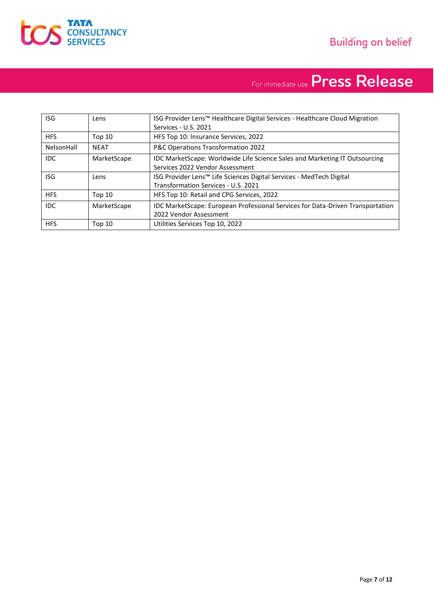

| <b>ISG</b> | Lens          | ISG Provider Lens™ Healthcare Digital Services - Healthcare Cloud Migration<br>Services - U.S. 2021           |
|------------|---------------|---------------------------------------------------------------------------------------------------------------|
| <b>HFS</b> | <b>Top 10</b> | HFS Top 10: Insurance Services, 2022                                                                          |
| NelsonHall | <b>NEAT</b>   | P&C Operations Transformation 2022                                                                            |
| IDC.       | MarketScape   | IDC MarketScape: Worldwide Life Science Sales and Marketing IT Outsourcing<br>Services 2022 Vendor Assessment |
| <b>ISG</b> | Lens          | ISG Provider Lens™ Life Sciences Digital Services - MedTech Digital<br>Transformation Services - U.S. 2021    |
| <b>HFS</b> | Top $10$      | HFS Top 10: Retail and CPG Services, 2022                                                                     |
| <b>IDC</b> | MarketScape   | <b>IDC MarketScape: European Professional Services for Data-Driven Transportation</b>                         |
|            |               | 2022 Vendor Assessment                                                                                        |
| <b>HFS</b> | Top 10        | Utilities Services Top 10, 2022                                                                               |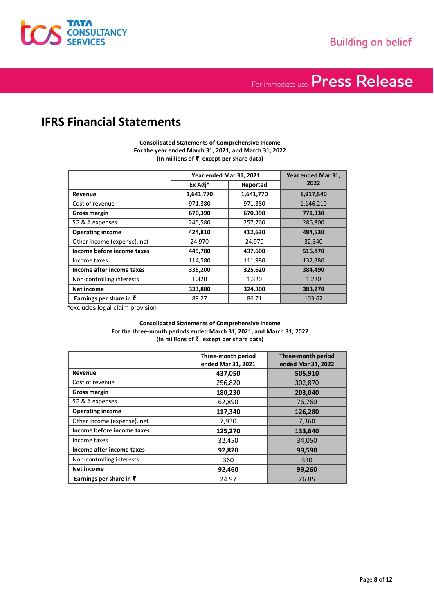

### **IFRS Financial Statements**

**Consolidated Statements of Comprehensive Income For the year ended March 31, 2021, and March 31, 2022 (In millions of ₹, except per share data)**

|                             | Year ended Mar 31, 2021 |           | Year ended Mar 31, |
|-----------------------------|-------------------------|-----------|--------------------|
|                             | Ex Adj*                 | Reported  | 2022               |
| Revenue                     | 1,641,770               | 1,641,770 | 1,917,540          |
| Cost of revenue             | 971,380                 | 971,380   | 1,146,210          |
| <b>Gross margin</b>         | 670,390                 | 670,390   | 771,330            |
| SG & A expenses             | 245,580                 | 257,760   | 286,800            |
| <b>Operating income</b>     | 424,810                 | 412,630   | 484,530            |
| Other income (expense), net | 24,970                  | 24,970    | 32,340             |
| Income before income taxes  | 449,780                 | 437,600   | 516,870            |
| Income taxes                | 114,580                 | 111,980   | 132,380            |
| Income after income taxes   | 335,200                 | 325,620   | 384,490            |
| Non-controlling interests   | 1,320                   | 1,320     | 1,220              |
| Net income                  | 333,880                 | 324,300   | 383,270            |
| Earnings per share in ₹     | 89.27                   | 86.71     | 103.62             |

\*excludes legal claim provision

#### **Consolidated Statements of Comprehensive Income For the three-month periods ended March 31, 2021, and March 31, 2022 (In millions of ₹**, **except per share data)**

|                                    | Three-month period<br>ended Mar 31, 2021 | Three-month period<br>ended Mar 31, 2022 |
|------------------------------------|------------------------------------------|------------------------------------------|
| Revenue                            | 437,050                                  | 505,910                                  |
| Cost of revenue                    | 256,820                                  | 302,870                                  |
| <b>Gross margin</b>                | 180,230                                  | 203,040                                  |
| SG & A expenses                    | 62,890                                   | 76,760                                   |
| <b>Operating income</b>            | 117,340                                  | 126,280                                  |
| Other income (expense), net        | 7,930                                    | 7,360                                    |
| Income before income taxes         | 125,270                                  | 133,640                                  |
| Income taxes                       | 32,450                                   | 34,050                                   |
| Income after income taxes          | 92,820                                   | 99,590                                   |
| Non-controlling interests          | 360                                      | 330                                      |
| <b>Net income</b>                  | 92,460                                   | 99,260                                   |
| Earnings per share in $\bar{\tau}$ | 24.97                                    | 26.85                                    |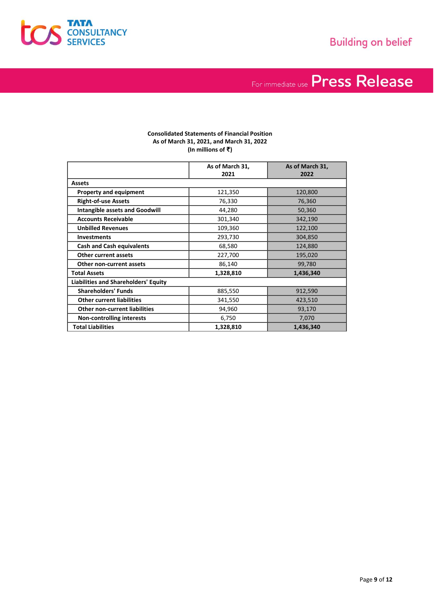

#### **Consolidated Statements of Financial Position As of March 31, 2021, and March 31, 2022 (In millions of ₹)**

|                                             | As of March 31,<br>2021 | As of March 31,<br>2022 |
|---------------------------------------------|-------------------------|-------------------------|
| <b>Assets</b>                               |                         |                         |
| <b>Property and equipment</b>               | 121,350                 | 120,800                 |
| <b>Right-of-use Assets</b>                  | 76,330                  | 76,360                  |
| <b>Intangible assets and Goodwill</b>       | 44,280                  | 50,360                  |
| <b>Accounts Receivable</b>                  | 301,340                 | 342,190                 |
| <b>Unbilled Revenues</b>                    | 109,360                 | 122,100                 |
| <b>Investments</b>                          | 293,730                 | 304,850                 |
| <b>Cash and Cash equivalents</b>            | 68,580                  | 124,880                 |
| Other current assets                        | 227,700                 | 195,020                 |
| Other non-current assets                    | 86,140                  | 99,780                  |
| <b>Total Assets</b>                         | 1,328,810               | 1,436,340               |
| <b>Liabilities and Shareholders' Equity</b> |                         |                         |
| <b>Shareholders' Funds</b>                  | 885,550                 | 912,590                 |
| <b>Other current liabilities</b>            | 341,550                 | 423,510                 |
| <b>Other non-current liabilities</b>        | 94,960                  | 93,170                  |
| <b>Non-controlling interests</b>            | 6,750                   | 7,070                   |
| <b>Total Liabilities</b>                    | 1,328,810               | 1,436,340               |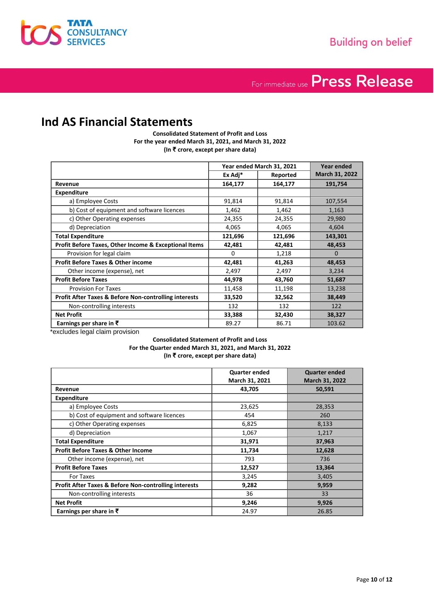

### **Ind AS Financial Statements**

**Consolidated Statement of Profit and Loss For the year ended March 31, 2021, and March 31, 2022 (In ₹ crore, except per share data)**

|                                                                  | Year ended March 31, 2021 |          | Year ended     |
|------------------------------------------------------------------|---------------------------|----------|----------------|
|                                                                  | Ex Adj*                   | Reported | March 31, 2022 |
| Revenue                                                          | 164,177                   | 164,177  | 191,754        |
| <b>Expenditure</b>                                               |                           |          |                |
| a) Employee Costs                                                | 91,814                    | 91,814   | 107,554        |
| b) Cost of equipment and software licences                       | 1,462                     | 1,462    | 1,163          |
| c) Other Operating expenses                                      | 24,355                    | 24,355   | 29,980         |
| d) Depreciation                                                  | 4,065                     | 4,065    | 4,604          |
| <b>Total Expenditure</b>                                         | 121,696                   | 121,696  | 143,301        |
| Profit Before Taxes, Other Income & Exceptional Items            | 42,481                    | 42,481   | 48,453         |
| Provision for legal claim                                        | 0                         | 1,218    | $\Omega$       |
| <b>Profit Before Taxes &amp; Other income</b>                    | 42,481                    | 41,263   | 48,453         |
| Other income (expense), net                                      | 2,497                     | 2,497    | 3,234          |
| <b>Profit Before Taxes</b>                                       | 44,978                    | 43,760   | 51,687         |
| <b>Provision For Taxes</b>                                       | 11,458                    | 11,198   | 13,238         |
| <b>Profit After Taxes &amp; Before Non-controlling interests</b> | 33,520                    | 32,562   | 38,449         |
| Non-controlling interests                                        | 132                       | 132      | 122            |
| <b>Net Profit</b>                                                | 33,388                    | 32,430   | 38,327         |
| Earnings per share in $\bar{\tau}$                               | 89.27                     | 86.71    | 103.62         |

\*excludes legal claim provision

**Consolidated Statement of Profit and Loss For the Quarter ended March 31, 2021, and March 31, 2022 (In ₹ crore, except per share data)**

|                                                       | <b>Quarter ended</b> | <b>Quarter ended</b> |
|-------------------------------------------------------|----------------------|----------------------|
|                                                       | March 31, 2021       | March 31, 2022       |
| Revenue                                               | 43,705               | 50,591               |
| <b>Expenditure</b>                                    |                      |                      |
| a) Employee Costs                                     | 23,625               | 28,353               |
| b) Cost of equipment and software licences            | 454                  | 260                  |
| c) Other Operating expenses                           | 6,825                | 8,133                |
| d) Depreciation                                       | 1,067                | 1,217                |
| <b>Total Expenditure</b>                              | 31,971               | 37,963               |
| <b>Profit Before Taxes &amp; Other Income</b>         | 11,734               | 12,628               |
| Other income (expense), net                           | 793                  | 736                  |
| <b>Profit Before Taxes</b>                            | 12,527               | 13,364               |
| For Taxes                                             | 3,245                | 3,405                |
| Profit After Taxes & Before Non-controlling interests | 9,282                | 9,959                |
| Non-controlling interests                             | 36                   | 33                   |
| <b>Net Profit</b>                                     | 9,246                | 9,926                |
| Earnings per share in $\bar{\xi}$                     | 24.97                | 26.85                |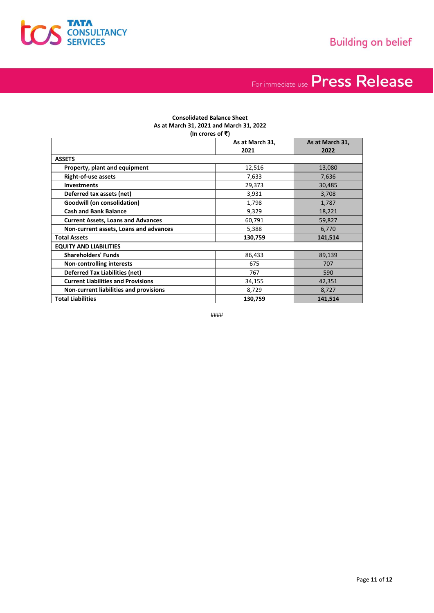

#### **Consolidated Balance Sheet As at March 31, 2021 and March 31, 2022 (In crores of ₹)**

|                                           | As at March 31,<br>2021 | As at March 31,<br>2022 |
|-------------------------------------------|-------------------------|-------------------------|
| <b>ASSETS</b>                             |                         |                         |
| Property, plant and equipment             | 12,516                  | 13,080                  |
| <b>Right-of-use assets</b>                | 7,633                   | 7,636                   |
| <b>Investments</b>                        | 29,373                  | 30,485                  |
| Deferred tax assets (net)                 | 3,931                   | 3,708                   |
| <b>Goodwill (on consolidation)</b>        | 1,798                   | 1,787                   |
| <b>Cash and Bank Balance</b>              | 9,329                   | 18,221                  |
| <b>Current Assets, Loans and Advances</b> | 60,791                  | 59,827                  |
| Non-current assets, Loans and advances    | 5,388                   | 6,770                   |
| <b>Total Assets</b>                       | 130,759                 | 141,514                 |
| <b>EQUITY AND LIABILITIES</b>             |                         |                         |
| <b>Shareholders' Funds</b>                | 86,433                  | 89,139                  |
| <b>Non-controlling interests</b>          | 675                     | 707                     |
| <b>Deferred Tax Liabilities (net)</b>     | 767                     | 590                     |
| <b>Current Liabilities and Provisions</b> | 34,155                  | 42,351                  |
| Non-current liabilities and provisions    | 8,729                   | 8,727                   |
| <b>Total Liabilities</b>                  | 130,759                 | 141,514                 |

####